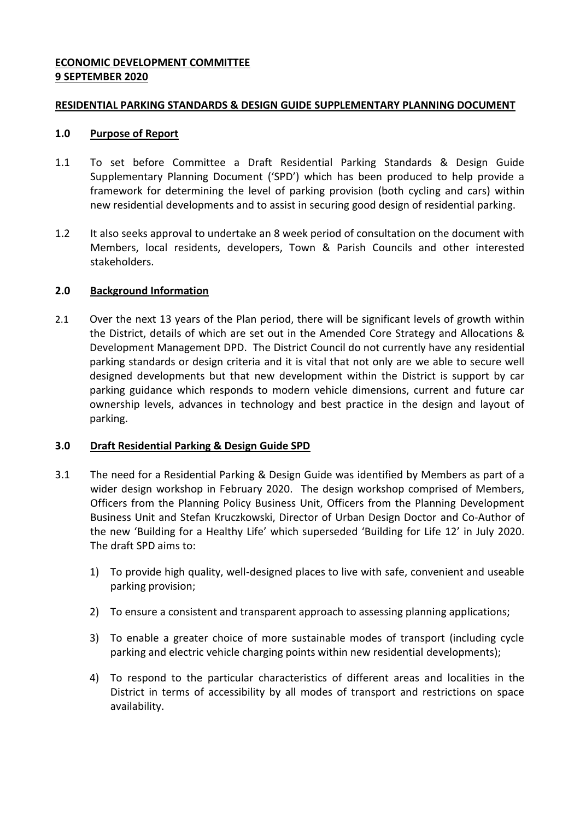### **ECONOMIC DEVELOPMENT COMMITTEE 9 SEPTEMBER 2020**

#### **RESIDENTIAL PARKING STANDARDS & DESIGN GUIDE SUPPLEMENTARY PLANNING DOCUMENT**

### **1.0 Purpose of Report**

- 1.1 To set before Committee a Draft Residential Parking Standards & Design Guide Supplementary Planning Document ('SPD') which has been produced to help provide a framework for determining the level of parking provision (both cycling and cars) within new residential developments and to assist in securing good design of residential parking.
- 1.2 It also seeks approval to undertake an 8 week period of consultation on the document with Members, local residents, developers, Town & Parish Councils and other interested stakeholders.

## **2.0 Background Information**

2.1 Over the next 13 years of the Plan period, there will be significant levels of growth within the District, details of which are set out in the Amended Core Strategy and Allocations & Development Management DPD. The District Council do not currently have any residential parking standards or design criteria and it is vital that not only are we able to secure well designed developments but that new development within the District is support by car parking guidance which responds to modern vehicle dimensions, current and future car ownership levels, advances in technology and best practice in the design and layout of parking.

# **3.0 Draft Residential Parking & Design Guide SPD**

- 3.1 The need for a Residential Parking & Design Guide was identified by Members as part of a wider design workshop in February 2020. The design workshop comprised of Members, Officers from the Planning Policy Business Unit, Officers from the Planning Development Business Unit and Stefan Kruczkowski, Director of Urban Design Doctor and Co-Author of the new 'Building for a Healthy Life' which superseded 'Building for Life 12' in July 2020. The draft SPD aims to:
	- 1) To provide high quality, well-designed places to live with safe, convenient and useable parking provision;
	- 2) To ensure a consistent and transparent approach to assessing planning applications;
	- 3) To enable a greater choice of more sustainable modes of transport (including cycle parking and electric vehicle charging points within new residential developments);
	- 4) To respond to the particular characteristics of different areas and localities in the District in terms of accessibility by all modes of transport and restrictions on space availability.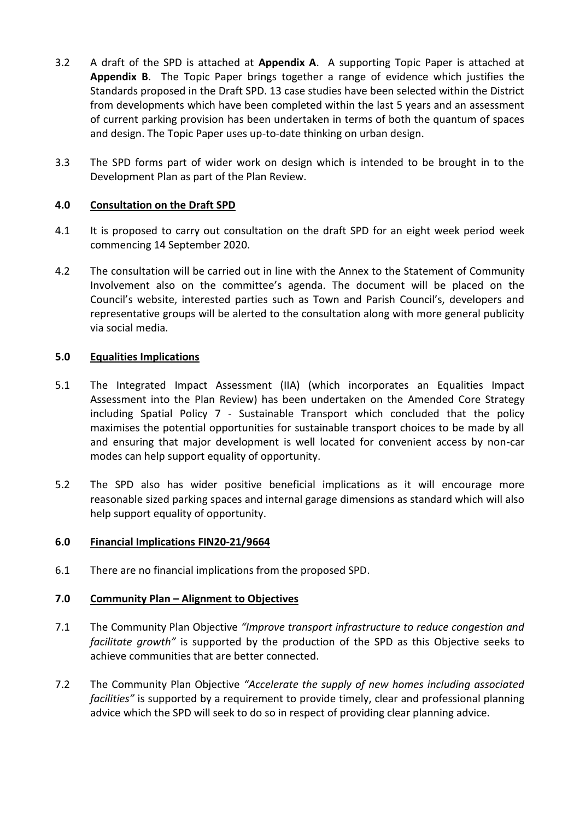- 3.2 A draft of the SPD is attached at **Appendix A**. A supporting Topic Paper is attached at **Appendix B**. The Topic Paper brings together a range of evidence which justifies the Standards proposed in the Draft SPD. 13 case studies have been selected within the District from developments which have been completed within the last 5 years and an assessment of current parking provision has been undertaken in terms of both the quantum of spaces and design. The Topic Paper uses up-to-date thinking on urban design.
- 3.3 The SPD forms part of wider work on design which is intended to be brought in to the Development Plan as part of the Plan Review.

## **4.0 Consultation on the Draft SPD**

- 4.1 It is proposed to carry out consultation on the draft SPD for an eight week period week commencing 14 September 2020.
- 4.2 The consultation will be carried out in line with the Annex to the Statement of Community Involvement also on the committee's agenda. The document will be placed on the Council's website, interested parties such as Town and Parish Council's, developers and representative groups will be alerted to the consultation along with more general publicity via social media.

## **5.0 Equalities Implications**

- 5.1 The Integrated Impact Assessment (IIA) (which incorporates an Equalities Impact Assessment into the Plan Review) has been undertaken on the Amended Core Strategy including Spatial Policy 7 - Sustainable Transport which concluded that the policy maximises the potential opportunities for sustainable transport choices to be made by all and ensuring that major development is well located for convenient access by non-car modes can help support equality of opportunity.
- 5.2 The SPD also has wider positive beneficial implications as it will encourage more reasonable sized parking spaces and internal garage dimensions as standard which will also help support equality of opportunity.

#### **6.0 Financial Implications FIN20-21/9664**

6.1 There are no financial implications from the proposed SPD.

#### **7.0 Community Plan – Alignment to Objectives**

- 7.1 The Community Plan Objective *"Improve transport infrastructure to reduce congestion and facilitate growth"* is supported by the production of the SPD as this Objective seeks to achieve communities that are better connected.
- 7.2 The Community Plan Objective *"Accelerate the supply of new homes including associated facilities"* is supported by a requirement to provide timely, clear and professional planning advice which the SPD will seek to do so in respect of providing clear planning advice.